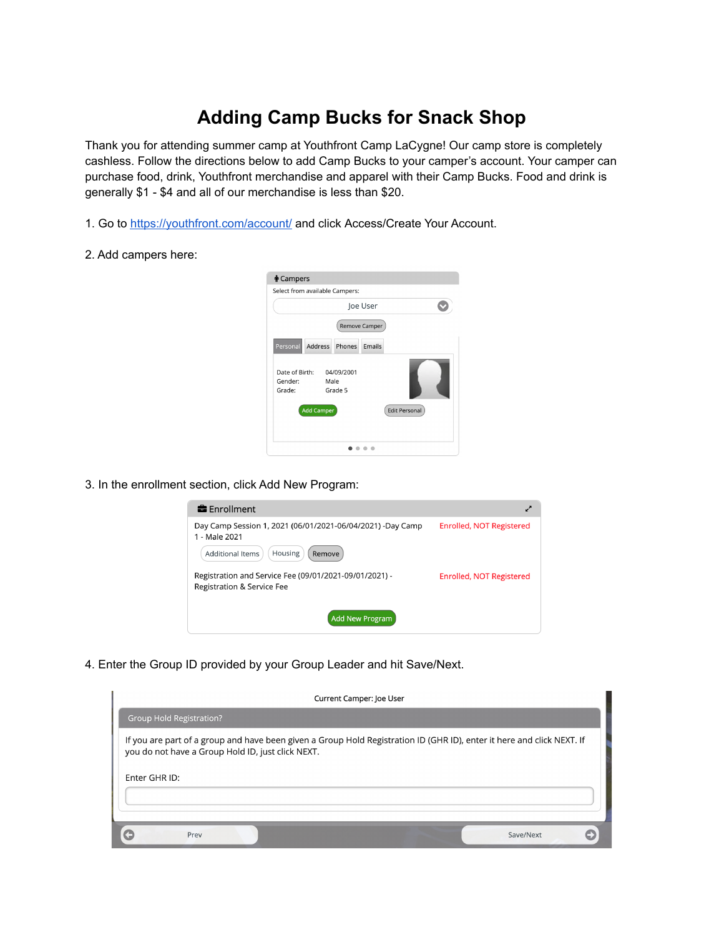## **Adding Camp Bucks for Snack Shop**

Thank you for attending summer camp at Youthfront Camp LaCygne! Our camp store is completely cashless. Follow the directions below to add Camp Bucks to your camper's account. Your camper can purchase food, drink, Youthfront merchandise and apparel with their Camp Bucks. Food and drink is generally \$1 - \$4 and all of our merchandise is less than \$20.

- 1. Go to <https://youthfront.com/account/> and click Access/Create Your Account.
- 2. Add campers here:

| Select from available Campers:      |                   |                       | Joe User      |                      |  |
|-------------------------------------|-------------------|-----------------------|---------------|----------------------|--|
|                                     |                   |                       | Remove Camper |                      |  |
| Personal                            | Address           | Phones                | <b>Fmails</b> |                      |  |
| Date of Birth:<br>Gender:<br>Grade: | Male              | 04/09/2001<br>Grade 5 |               |                      |  |
|                                     | <b>Add Camper</b> |                       |               | <b>Edit Personal</b> |  |
|                                     |                   |                       |               |                      |  |

3. In the enrollment section, click Add New Program:



4. Enter the Group ID provided by your Group Leader and hit Save/Next.

| Current Camper: Joe User                                                                                                                                                    |           |
|-----------------------------------------------------------------------------------------------------------------------------------------------------------------------------|-----------|
| <b>Group Hold Registration?</b>                                                                                                                                             |           |
| If you are part of a group and have been given a Group Hold Registration ID (GHR ID), enter it here and click NEXT. If<br>you do not have a Group Hold ID, just click NEXT. |           |
| Enter GHR ID:                                                                                                                                                               |           |
| Prev                                                                                                                                                                        | Save/Next |